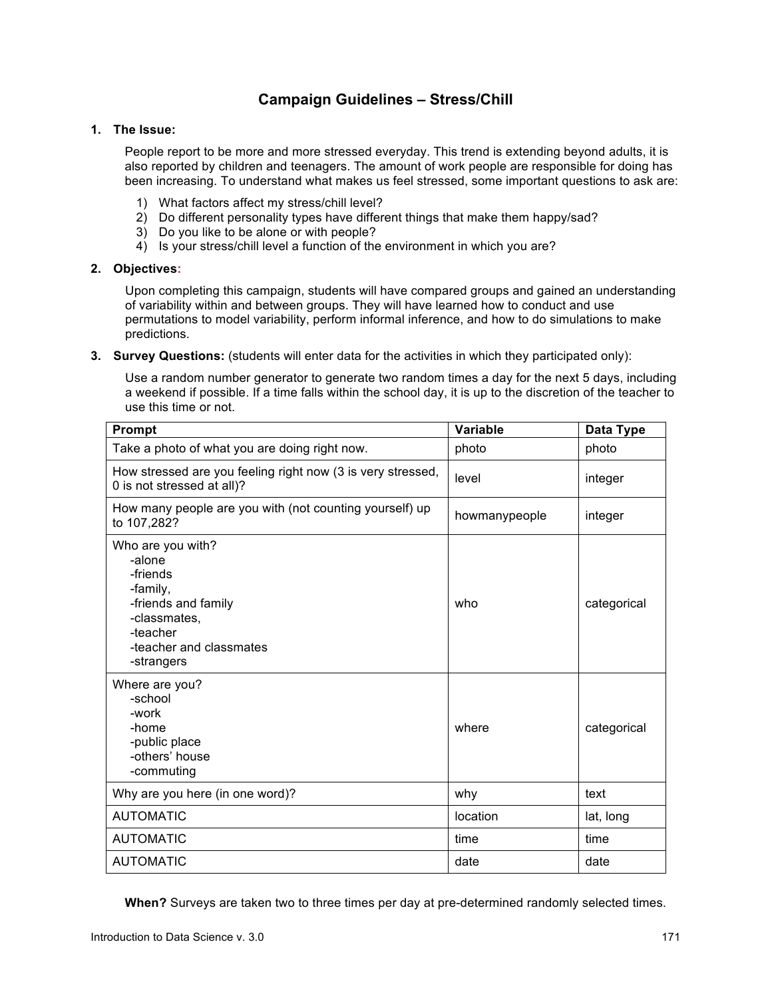# **Campaign Guidelines – Stress/Chill**

## **1. The Issue:**

People report to be more and more stressed everyday. This trend is extending beyond adults, it is also reported by children and teenagers. The amount of work people are responsible for doing has been increasing. To understand what makes us feel stressed, some important questions to ask are:

- 1) What factors affect my stress/chill level?
- 2) Do different personality types have different things that make them happy/sad?
- 3) Do you like to be alone or with people?
- 4) Is your stress/chill level a function of the environment in which you are?

## **2. Objectives:**

Upon completing this campaign, students will have compared groups and gained an understanding of variability within and between groups. They will have learned how to conduct and use permutations to model variability, perform informal inference, and how to do simulations to make predictions.

**3. Survey Questions:** (students will enter data for the activities in which they participated only):

Use a random number generator to generate two random times a day for the next 5 days, including a weekend if possible. If a time falls within the school day, it is up to the discretion of the teacher to use this time or not.

| Prompt                                                                                                                                          | Variable      | Data Type   |
|-------------------------------------------------------------------------------------------------------------------------------------------------|---------------|-------------|
| Take a photo of what you are doing right now.                                                                                                   | photo         | photo       |
| How stressed are you feeling right now (3 is very stressed,<br>0 is not stressed at all)?                                                       | level         | integer     |
| How many people are you with (not counting yourself) up<br>to 107,282?                                                                          | howmanypeople | integer     |
| Who are you with?<br>-alone<br>-friends<br>-family,<br>-friends and family<br>-classmates,<br>-teacher<br>-teacher and classmates<br>-strangers | who           | categorical |
| Where are you?<br>-school<br>-work<br>-home<br>-public place<br>-others' house<br>-commuting                                                    | where         | categorical |
| Why are you here (in one word)?                                                                                                                 | why           | text        |
| <b>AUTOMATIC</b>                                                                                                                                | location      | lat, long   |
| <b>AUTOMATIC</b>                                                                                                                                | time          | time        |
| <b>AUTOMATIC</b>                                                                                                                                | date          | date        |

**When?** Surveys are taken two to three times per day at pre-determined randomly selected times.